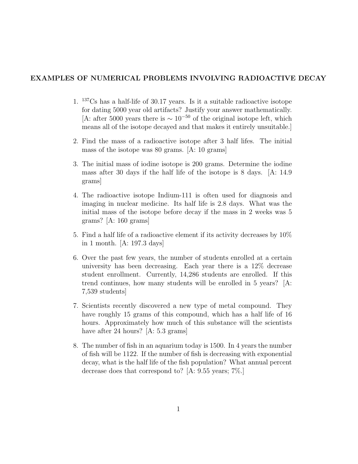## EXAMPLES OF NUMERICAL PROBLEMS INVOLVING RADIOACTIVE DECAY

- 1. <sup>137</sup>Cs has a half-life of 30.17 years. Is it a suitable radioactive isotope for dating 5000 year old artifacts? Justify your answer mathematically. [A: after 5000 years there is  $\sim 10^{-50}$  of the original isotope left, which means all of the isotope decayed and that makes it entirely unsuitable.]
- 2. Find the mass of a radioactive isotope after 3 half lifes. The initial mass of the isotope was 80 grams. [A: 10 grams]
- 3. The initial mass of iodine isotope is 200 grams. Determine the iodine mass after 30 days if the half life of the isotope is 8 days. [A: 14.9 grams]
- 4. The radioactive isotope Indium-111 is often used for diagnosis and imaging in nuclear medicine. Its half life is 2.8 days. What was the initial mass of the isotope before decay if the mass in 2 weeks was 5 grams? [A: 160 grams]
- 5. Find a half life of a radioactive element if its activity decreases by 10% in 1 month. [A: 197.3 days]
- 6. Over the past few years, the number of students enrolled at a certain university has been decreasing. Each year there is a 12% decrease student enrollment. Currently, 14,286 students are enrolled. If this trend continues, how many students will be enrolled in 5 years? [A: 7,539 students]
- 7. Scientists recently discovered a new type of metal compound. They have roughly 15 grams of this compound, which has a half life of 16 hours. Approximately how much of this substance will the scientists have after 24 hours? [A: 5.3 grams]
- 8. The number of fish in an aquarium today is 1500. In 4 years the number of fish will be 1122. If the number of fish is decreasing with exponential decay, what is the half life of the fish population? What annual percent decrease does that correspond to? [A: 9.55 years; 7%.]